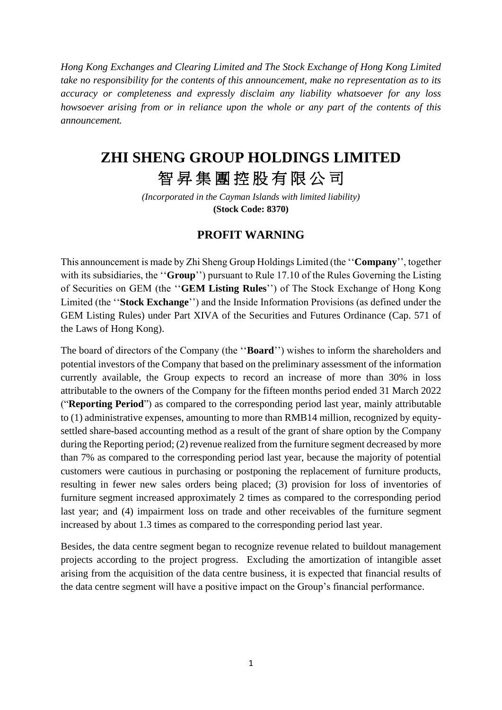*Hong Kong Exchanges and Clearing Limited and The Stock Exchange of Hong Kong Limited take no responsibility for the contents of this announcement, make no representation as to its accuracy or completeness and expressly disclaim any liability whatsoever for any loss howsoever arising from or in reliance upon the whole or any part of the contents of this announcement.*

## **ZHI SHENG GROUP HOLDINGS LIMITED**

## 智昇集團控股有限公司

*(Incorporated in the Cayman Islands with limited liability)* **(Stock Code: 8370)**

## **PROFIT WARNING**

This announcement is made by Zhi Sheng Group Holdings Limited (the ''**Company**'', together with its subsidiaries, the ''**Group**'') pursuant to Rule 17.10 of the Rules Governing the Listing of Securities on GEM (the ''**GEM Listing Rules**'') of The Stock Exchange of Hong Kong Limited (the ''**Stock Exchange**'') and the Inside Information Provisions (as defined under the GEM Listing Rules) under Part XIVA of the Securities and Futures Ordinance (Cap. 571 of the Laws of Hong Kong).

The board of directors of the Company (the ''**Board**'') wishes to inform the shareholders and potential investors of the Company that based on the preliminary assessment of the information currently available, the Group expects to record an increase of more than 30% in loss attributable to the owners of the Company for the fifteen months period ended 31 March 2022 ("**Reporting Period**") as compared to the corresponding period last year, mainly attributable to (1) administrative expenses, amounting to more than RMB14 million, recognized by equitysettled share-based accounting method as a result of the grant of share option by the Company during the Reporting period; (2) revenue realized from the furniture segment decreased by more than 7% as compared to the corresponding period last year, because the majority of potential customers were cautious in purchasing or postponing the replacement of furniture products, resulting in fewer new sales orders being placed; (3) provision for loss of inventories of furniture segment increased approximately 2 times as compared to the corresponding period last year; and (4) impairment loss on trade and other receivables of the furniture segment increased by about 1.3 times as compared to the corresponding period last year.

Besides, the data centre segment began to recognize revenue related to buildout management projects according to the project progress. Excluding the amortization of intangible asset arising from the acquisition of the data centre business, it is expected that financial results of the data centre segment will have a positive impact on the Group's financial performance.